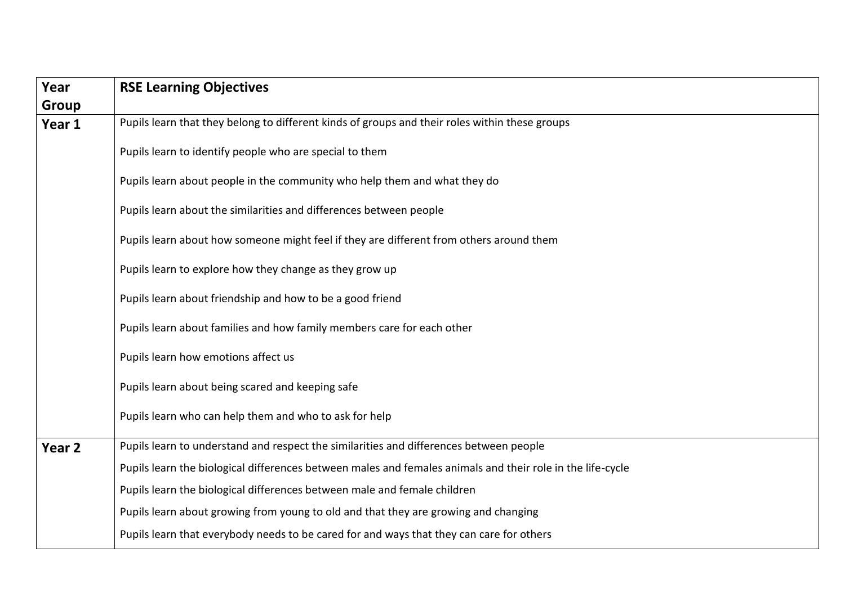| Year   | <b>RSE Learning Objectives</b>                                                                             |
|--------|------------------------------------------------------------------------------------------------------------|
| Group  |                                                                                                            |
| Year 1 | Pupils learn that they belong to different kinds of groups and their roles within these groups             |
|        | Pupils learn to identify people who are special to them                                                    |
|        | Pupils learn about people in the community who help them and what they do                                  |
|        | Pupils learn about the similarities and differences between people                                         |
|        | Pupils learn about how someone might feel if they are different from others around them                    |
|        | Pupils learn to explore how they change as they grow up                                                    |
|        | Pupils learn about friendship and how to be a good friend                                                  |
|        | Pupils learn about families and how family members care for each other                                     |
|        | Pupils learn how emotions affect us                                                                        |
|        | Pupils learn about being scared and keeping safe                                                           |
|        | Pupils learn who can help them and who to ask for help                                                     |
| Year 2 | Pupils learn to understand and respect the similarities and differences between people                     |
|        | Pupils learn the biological differences between males and females animals and their role in the life-cycle |
|        | Pupils learn the biological differences between male and female children                                   |
|        | Pupils learn about growing from young to old and that they are growing and changing                        |
|        | Pupils learn that everybody needs to be cared for and ways that they can care for others                   |